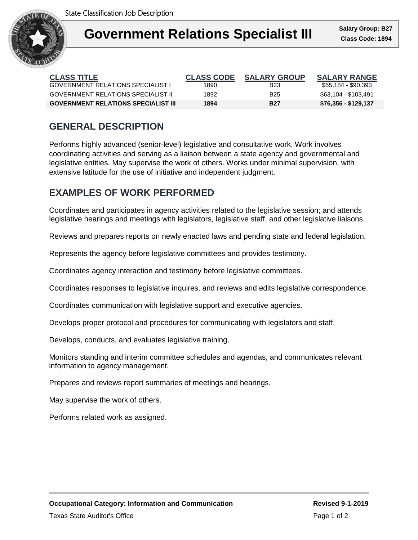

| <b>CLASS TITLE</b>                         | <b>CLASS CODE</b> | <b>SALARY GROUP</b> | <b>SALARY RANGE</b>  |
|--------------------------------------------|-------------------|---------------------|----------------------|
| <b>GOVERNMENT RELATIONS SPECIALIST I</b>   | 1890              | <b>B23</b>          | \$55,184 - \$90,393  |
| GOVERNMENT RELATIONS SPECIALIST II         | 1892              | <b>B25</b>          | \$63.104 - \$103.491 |
| <b>GOVERNMENT RELATIONS SPECIALIST III</b> | 1894              | <b>B27</b>          | \$76,356 - \$129,137 |

## **GENERAL DESCRIPTION**

Performs highly advanced (senior-level) legislative and consultative work. Work involves coordinating activities and serving as a liaison between a state agency and governmental and legislative entities. May supervise the work of others. Works under minimal supervision, with extensive latitude for the use of initiative and independent judgment.

### **EXAMPLES OF WORK PERFORMED**

Coordinates and participates in agency activities related to the legislative session; and attends legislative hearings and meetings with legislators, legislative staff, and other legislative liaisons.

Reviews and prepares reports on newly enacted laws and pending state and federal legislation.

Represents the agency before legislative committees and provides testimony.

Coordinates agency interaction and testimony before legislative committees.

Coordinates responses to legislative inquires, and reviews and edits legislative correspondence.

Coordinates communication with legislative support and executive agencies.

Develops proper protocol and procedures for communicating with legislators and staff.

Develops, conducts, and evaluates legislative training.

Monitors standing and interim committee schedules and agendas, and communicates relevant information to agency management.

Prepares and reviews report summaries of meetings and hearings.

May supervise the work of others.

Performs related work as assigned.